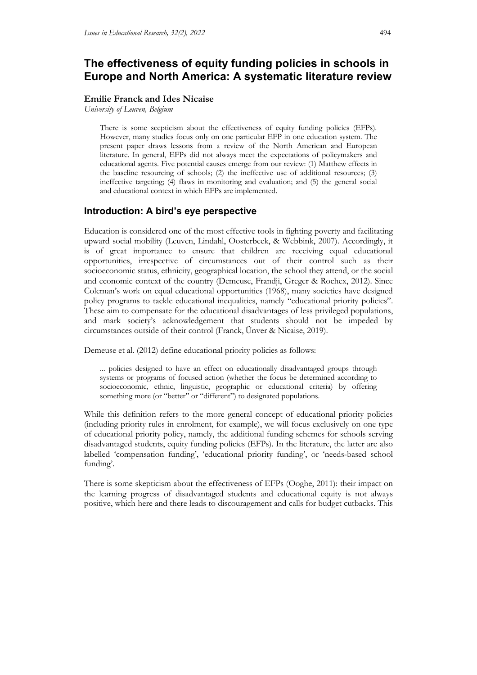# **The effectiveness of equity funding policies in schools in Europe and North America: A systematic literature review**

#### **Emilie Franck and Ides Nicaise**

*University of Leuven, Belgium*

There is some scepticism about the effectiveness of equity funding policies (EFPs). However, many studies focus only on one particular EFP in one education system. The present paper draws lessons from a review of the North American and European literature. In general, EFPs did not always meet the expectations of policymakers and educational agents. Five potential causes emerge from our review: (1) Matthew effects in the baseline resourcing of schools; (2) the ineffective use of additional resources; (3) ineffective targeting; (4) flaws in monitoring and evaluation; and (5) the general social and educational context in which EFPs are implemented.

# **Introduction: A bird's eye perspective**

Education is considered one of the most effective tools in fighting poverty and facilitating upward social mobility (Leuven, Lindahl, Oosterbeek, & Webbink, 2007). Accordingly, it is of great importance to ensure that children are receiving equal educational opportunities, irrespective of circumstances out of their control such as their socioeconomic status, ethnicity, geographical location, the school they attend, or the social and economic context of the country (Demeuse, Frandji, Greger & Rochex, 2012). Since Coleman's work on equal educational opportunities (1968), many societies have designed policy programs to tackle educational inequalities, namely "educational priority policies". These aim to compensate for the educational disadvantages of less privileged populations, and mark society's acknowledgement that students should not be impeded by circumstances outside of their control (Franck, Ünver & Nicaise, 2019).

Demeuse et al. (2012) define educational priority policies as follows:

... policies designed to have an effect on educationally disadvantaged groups through systems or programs of focused action (whether the focus be determined according to socioeconomic, ethnic, linguistic, geographic or educational criteria) by offering something more (or "better" or "different") to designated populations.

While this definition refers to the more general concept of educational priority policies (including priority rules in enrolment, for example), we will focus exclusively on one type of educational priority policy, namely, the additional funding schemes for schools serving disadvantaged students, equity funding policies (EFPs). In the literature, the latter are also labelled 'compensation funding', 'educational priority funding', or 'needs-based school funding'.

There is some skepticism about the effectiveness of EFPs (Ooghe, 2011): their impact on the learning progress of disadvantaged students and educational equity is not always positive, which here and there leads to discouragement and calls for budget cutbacks. This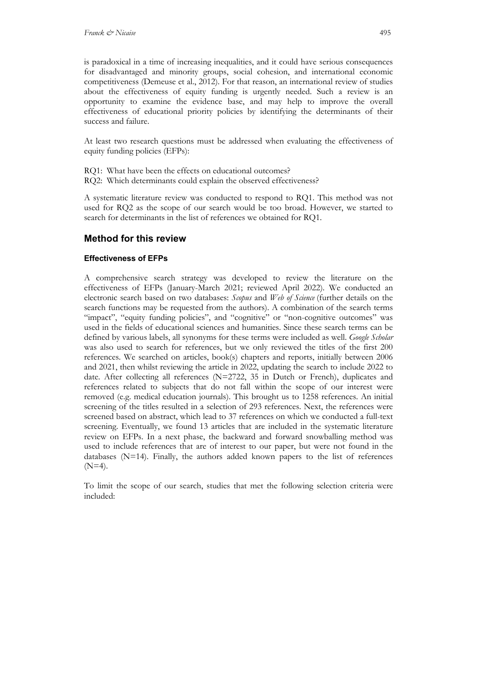is paradoxical in a time of increasing inequalities, and it could have serious consequences for disadvantaged and minority groups, social cohesion, and international economic competitiveness (Demeuse et al., 2012). For that reason, an international review of studies about the effectiveness of equity funding is urgently needed. Such a review is an opportunity to examine the evidence base, and may help to improve the overall effectiveness of educational priority policies by identifying the determinants of their success and failure.

At least two research questions must be addressed when evaluating the effectiveness of equity funding policies (EFPs):

RQ1: What have been the effects on educational outcomes? RQ2: Which determinants could explain the observed effectiveness?

A systematic literature review was conducted to respond to RQ1. This method was not used for RQ2 as the scope of our search would be too broad. However, we started to search for determinants in the list of references we obtained for RQ1.

# **Method for this review**

### **Effectiveness of EFPs**

A comprehensive search strategy was developed to review the literature on the effectiveness of EFPs (January-March 2021; reviewed April 2022). We conducted an electronic search based on two databases: *Scopus* and *Web of Science* (further details on the search functions may be requested from the authors). A combination of the search terms "impact", "equity funding policies", and "cognitive" or "non-cognitive outcomes" was used in the fields of educational sciences and humanities. Since these search terms can be defined by various labels, all synonyms for these terms were included as well. *Google Scholar* was also used to search for references, but we only reviewed the titles of the first 200 references. We searched on articles, book(s) chapters and reports, initially between 2006 and 2021, then whilst reviewing the article in 2022, updating the search to include 2022 to date. After collecting all references (N=2722, 35 in Dutch or French), duplicates and references related to subjects that do not fall within the scope of our interest were removed (e.g. medical education journals). This brought us to 1258 references. An initial screening of the titles resulted in a selection of 293 references. Next, the references were screened based on abstract, which lead to 37 references on which we conducted a full-text screening. Eventually, we found 13 articles that are included in the systematic literature review on EFPs. In a next phase, the backward and forward snowballing method was used to include references that are of interest to our paper, but were not found in the databases  $(N=14)$ . Finally, the authors added known papers to the list of references  $(N=4)$ .

To limit the scope of our search, studies that met the following selection criteria were included: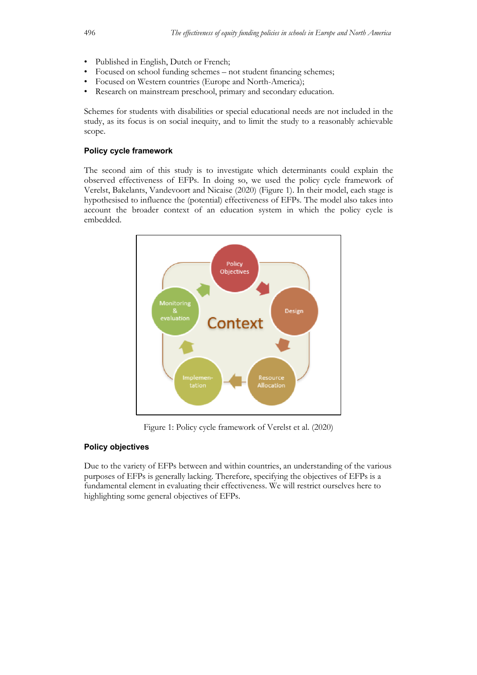- Published in English, Dutch or French;
- Focused on school funding schemes not student financing schemes;
- Focused on Western countries (Europe and North-America);
- Research on mainstream preschool, primary and secondary education.

Schemes for students with disabilities or special educational needs are not included in the study, as its focus is on social inequity, and to limit the study to a reasonably achievable scope.

#### **Policy cycle framework**

The second aim of this study is to investigate which determinants could explain the observed effectiveness of EFPs. In doing so, we used the policy cycle framework of Verelst, Bakelants, Vandevoort and Nicaise (2020) (Figure 1). In their model, each stage is hypothesised to influence the (potential) effectiveness of EFPs. The model also takes into account the broader context of an education system in which the policy cycle is embedded.



Figure 1: Policy cycle framework of Verelst et al. (2020)

#### **Policy objectives**

Due to the variety of EFPs between and within countries, an understanding of the various purposes of EFPs is generally lacking. Therefore, specifying the objectives of EFPs is a fundamental element in evaluating their effectiveness. We will restrict ourselves here to highlighting some general objectives of EFPs.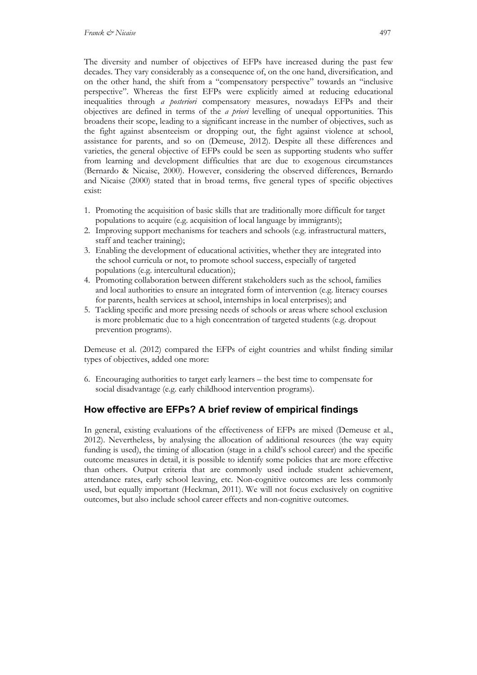The diversity and number of objectives of EFPs have increased during the past few decades. They vary considerably as a consequence of, on the one hand, diversification, and on the other hand, the shift from a "compensatory perspective" towards an "inclusive perspective". Whereas the first EFPs were explicitly aimed at reducing educational inequalities through *a posteriori* compensatory measures, nowadays EFPs and their objectives are defined in terms of the *a priori* levelling of unequal opportunities. This broadens their scope, leading to a significant increase in the number of objectives, such as the fight against absenteeism or dropping out, the fight against violence at school, assistance for parents, and so on (Demeuse, 2012). Despite all these differences and varieties, the general objective of EFPs could be seen as supporting students who suffer from learning and development difficulties that are due to exogenous circumstances (Bernardo & Nicaise, 2000). However, considering the observed differences, Bernardo and Nicaise (2000) stated that in broad terms, five general types of specific objectives exist:

- 1. Promoting the acquisition of basic skills that are traditionally more difficult for target populations to acquire (e.g. acquisition of local language by immigrants);
- 2. Improving support mechanisms for teachers and schools (e.g. infrastructural matters, staff and teacher training);
- 3. Enabling the development of educational activities, whether they are integrated into the school curricula or not, to promote school success, especially of targeted populations (e.g. intercultural education);
- 4. Promoting collaboration between different stakeholders such as the school, families and local authorities to ensure an integrated form of intervention (e.g. literacy courses for parents, health services at school, internships in local enterprises); and
- 5. Tackling specific and more pressing needs of schools or areas where school exclusion is more problematic due to a high concentration of targeted students (e.g. dropout prevention programs).

Demeuse et al. (2012) compared the EFPs of eight countries and whilst finding similar types of objectives, added one more:

6. Encouraging authorities to target early learners – the best time to compensate for social disadvantage (e.g. early childhood intervention programs).

# **How effective are EFPs? A brief review of empirical findings**

In general, existing evaluations of the effectiveness of EFPs are mixed (Demeuse et al., 2012). Nevertheless, by analysing the allocation of additional resources (the way equity funding is used), the timing of allocation (stage in a child's school career) and the specific outcome measures in detail, it is possible to identify some policies that are more effective than others. Output criteria that are commonly used include student achievement, attendance rates, early school leaving, etc. Non-cognitive outcomes are less commonly used, but equally important (Heckman, 2011). We will not focus exclusively on cognitive outcomes, but also include school career effects and non-cognitive outcomes.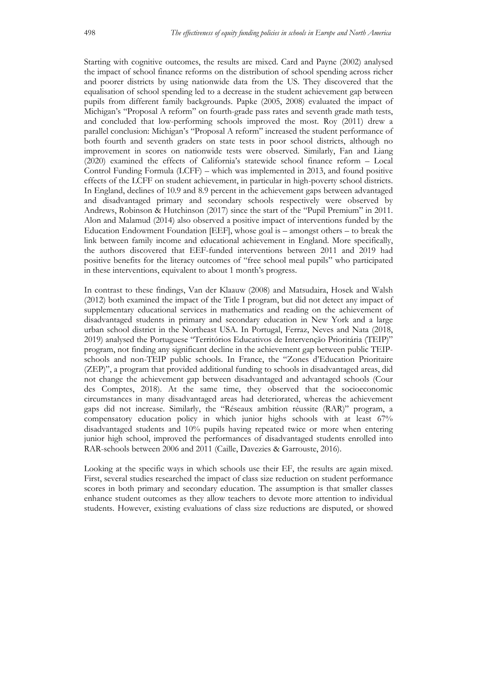Starting with cognitive outcomes, the results are mixed. Card and Payne (2002) analysed the impact of school finance reforms on the distribution of school spending across richer and poorer districts by using nationwide data from the US. They discovered that the equalisation of school spending led to a decrease in the student achievement gap between pupils from different family backgrounds. Papke (2005, 2008) evaluated the impact of Michigan's "Proposal A reform" on fourth-grade pass rates and seventh grade math tests, and concluded that low-performing schools improved the most. Roy (2011) drew a parallel conclusion: Michigan's "Proposal A reform" increased the student performance of both fourth and seventh graders on state tests in poor school districts, although no improvement in scores on nationwide tests were observed. Similarly, Fan and Liang (2020) examined the effects of California's statewide school finance reform – Local Control Funding Formula (LCFF) – which was implemented in 2013, and found positive effects of the LCFF on student achievement, in particular in high-poverty school districts. In England, declines of 10.9 and 8.9 percent in the achievement gaps between advantaged and disadvantaged primary and secondary schools respectively were observed by Andrews, Robinson & Hutchinson (2017) since the start of the "Pupil Premium" in 2011. Alon and Malamud (2014) also observed a positive impact of interventions funded by the Education Endowment Foundation [EEF], whose goal is – amongst others – to break the link between family income and educational achievement in England. More specifically, the authors discovered that EEF-funded interventions between 2011 and 2019 had positive benefits for the literacy outcomes of "free school meal pupils" who participated in these interventions, equivalent to about 1 month's progress.

In contrast to these findings, Van der Klaauw (2008) and Matsudaira, Hosek and Walsh (2012) both examined the impact of the Title I program, but did not detect any impact of supplementary educational services in mathematics and reading on the achievement of disadvantaged students in primary and secondary education in New York and a large urban school district in the Northeast USA. In Portugal, Ferraz, Neves and Nata (2018, 2019) analysed the Portuguese "Territórios Educativos de Intervenção Prioritária (TEIP)" program, not finding any significant decline in the achievement gap between public TEIPschools and non-TEIP public schools. In France, the "Zones d'Education Prioritaire (ZEP)", a program that provided additional funding to schools in disadvantaged areas, did not change the achievement gap between disadvantaged and advantaged schools (Cour des Comptes, 2018). At the same time, they observed that the socioeconomic circumstances in many disadvantaged areas had deteriorated, whereas the achievement gaps did not increase. Similarly, the "Réseaux ambition réussite (RAR)" program, a compensatory education policy in which junior highs schools with at least 67% disadvantaged students and 10% pupils having repeated twice or more when entering junior high school, improved the performances of disadvantaged students enrolled into RAR-schools between 2006 and 2011 (Caille, Davezies & Garrouste, 2016).

Looking at the specific ways in which schools use their EF, the results are again mixed. First, several studies researched the impact of class size reduction on student performance scores in both primary and secondary education. The assumption is that smaller classes enhance student outcomes as they allow teachers to devote more attention to individual students. However, existing evaluations of class size reductions are disputed, or showed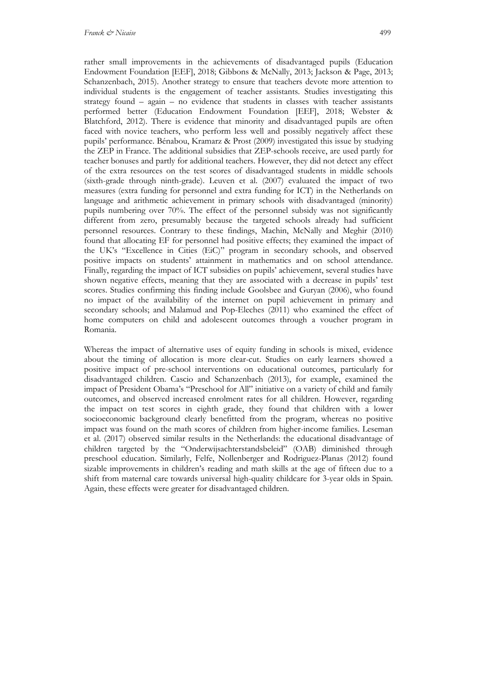rather small improvements in the achievements of disadvantaged pupils (Education Endowment Foundation [EEF], 2018; Gibbons & McNally, 2013; Jackson & Page, 2013; Schanzenbach, 2015). Another strategy to ensure that teachers devote more attention to individual students is the engagement of teacher assistants. Studies investigating this strategy found – again – no evidence that students in classes with teacher assistants performed better (Education Endowment Foundation [EEF], 2018; Webster & Blatchford, 2012). There is evidence that minority and disadvantaged pupils are often faced with novice teachers, who perform less well and possibly negatively affect these pupils' performance. Bénabou, Kramarz & Prost (2009) investigated this issue by studying the ZEP in France. The additional subsidies that ZEP-schools receive, are used partly for teacher bonuses and partly for additional teachers. However, they did not detect any effect of the extra resources on the test scores of disadvantaged students in middle schools (sixth-grade through ninth-grade). Leuven et al. (2007) evaluated the impact of two measures (extra funding for personnel and extra funding for ICT) in the Netherlands on language and arithmetic achievement in primary schools with disadvantaged (minority) pupils numbering over 70%. The effect of the personnel subsidy was not significantly different from zero, presumably because the targeted schools already had sufficient personnel resources. Contrary to these findings, Machin, McNally and Meghir (2010) found that allocating EF for personnel had positive effects; they examined the impact of the UK's "Excellence in Cities (EiC)" program in secondary schools, and observed positive impacts on students' attainment in mathematics and on school attendance. Finally, regarding the impact of ICT subsidies on pupils' achievement, several studies have shown negative effects, meaning that they are associated with a decrease in pupils' test scores. Studies confirming this finding include Goolsbee and Guryan (2006), who found no impact of the availability of the internet on pupil achievement in primary and secondary schools; and Malamud and Pop-Eleches (2011) who examined the effect of home computers on child and adolescent outcomes through a voucher program in Romania.

Whereas the impact of alternative uses of equity funding in schools is mixed, evidence about the timing of allocation is more clear-cut. Studies on early learners showed a positive impact of pre-school interventions on educational outcomes, particularly for disadvantaged children. Cascio and Schanzenbach (2013), for example, examined the impact of President Obama's "Preschool for All" initiative on a variety of child and family outcomes, and observed increased enrolment rates for all children. However, regarding the impact on test scores in eighth grade, they found that children with a lower socioeconomic background clearly benefitted from the program, whereas no positive impact was found on the math scores of children from higher-income families. Leseman et al. (2017) observed similar results in the Netherlands: the educational disadvantage of children targeted by the "Onderwijsachterstandsbeleid" (OAB) diminished through preschool education. Similarly, Felfe, Nollenberger and Rodriguez-Planas (2012) found sizable improvements in children's reading and math skills at the age of fifteen due to a shift from maternal care towards universal high-quality childcare for 3-year olds in Spain. Again, these effects were greater for disadvantaged children.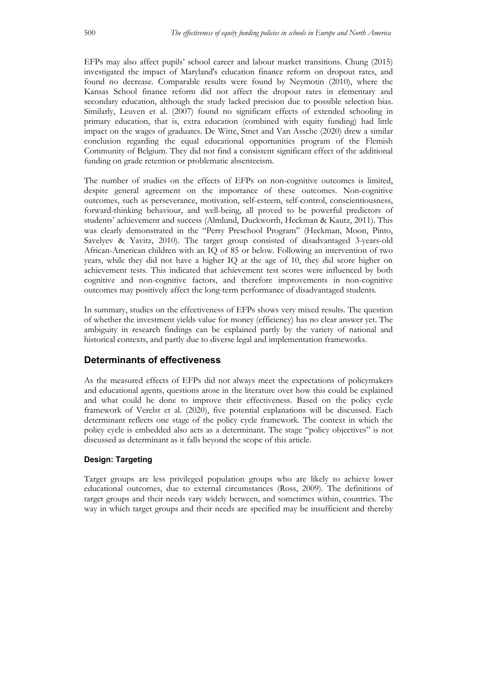EFPs may also affect pupils' school career and labour market transitions. Chung (2015) investigated the impact of Maryland's education finance reform on dropout rates, and found no decrease. Comparable results were found by Neymotin (2010), where the Kansas School finance reform did not affect the dropout rates in elementary and secondary education, although the study lacked precision due to possible selection bias. Similarly, Leuven et al. (2007) found no significant effects of extended schooling in primary education, that is, extra education (combined with equity funding) had little impact on the wages of graduates. De Witte, Smet and Van Assche (2020) drew a similar conclusion regarding the equal educational opportunities program of the Flemish Community of Belgium. They did not find a consistent significant effect of the additional funding on grade retention or problematic absenteeism.

The number of studies on the effects of EFPs on non-cognitive outcomes is limited, despite general agreement on the importance of these outcomes. Non-cognitive outcomes, such as perseverance, motivation, self-esteem, self-control, conscientiousness, forward-thinking behaviour, and well-being, all proved to be powerful predictors of students' achievement and success (Almlund, Duckworth, Heckman & Kautz, 2011). This was clearly demonstrated in the "Perry Preschool Program" (Heckman, Moon, Pinto, Savelyev & Yavitz, 2010). The target group consisted of disadvantaged 3-years-old African-American children with an IQ of 85 or below. Following an intervention of two years, while they did not have a higher IQ at the age of 10, they did score higher on achievement tests. This indicated that achievement test scores were influenced by both cognitive and non-cognitive factors, and therefore improvements in non-cognitive outcomes may positively affect the long-term performance of disadvantaged students.

In summary, studies on the effectiveness of EFPs shows very mixed results. The question of whether the investment yields value for money (efficiency) has no clear answer yet. The ambiguity in research findings can be explained partly by the variety of national and historical contexts, and partly due to diverse legal and implementation frameworks.

## **Determinants of effectiveness**

As the measured effects of EFPs did not always meet the expectations of policymakers and educational agents, questions arose in the literature over how this could be explained and what could be done to improve their effectiveness. Based on the policy cycle framework of Verelst et al. (2020), five potential explanations will be discussed. Each determinant reflects one stage of the policy cycle framework. The context in which the policy cycle is embedded also acts as a determinant. The stage "policy objectives" is not discussed as determinant as it falls beyond the scope of this article.

#### **Design: Targeting**

Target groups are less privileged population groups who are likely to achieve lower educational outcomes, due to external circumstances (Ross, 2009). The definitions of target groups and their needs vary widely between, and sometimes within, countries. The way in which target groups and their needs are specified may be insufficient and thereby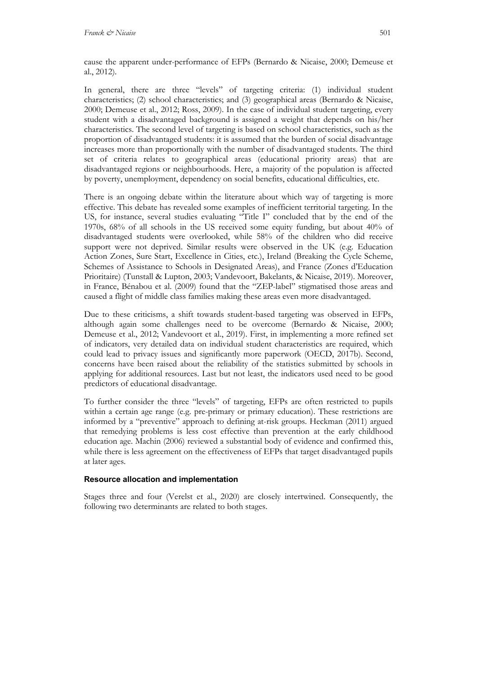cause the apparent under-performance of EFPs (Bernardo & Nicaise, 2000; Demeuse et al., 2012).

In general, there are three "levels" of targeting criteria: (1) individual student characteristics; (2) school characteristics; and (3) geographical areas (Bernardo & Nicaise, 2000; Demeuse et al., 2012; Ross, 2009). In the case of individual student targeting, every student with a disadvantaged background is assigned a weight that depends on his/her characteristics. The second level of targeting is based on school characteristics, such as the proportion of disadvantaged students: it is assumed that the burden of social disadvantage increases more than proportionally with the number of disadvantaged students. The third set of criteria relates to geographical areas (educational priority areas) that are disadvantaged regions or neighbourhoods. Here, a majority of the population is affected by poverty, unemployment, dependency on social benefits, educational difficulties, etc.

There is an ongoing debate within the literature about which way of targeting is more effective. This debate has revealed some examples of inefficient territorial targeting. In the US, for instance, several studies evaluating "Title I" concluded that by the end of the 1970s, 68% of all schools in the US received some equity funding, but about 40% of disadvantaged students were overlooked, while 58% of the children who did receive support were not deprived. Similar results were observed in the UK (e.g. Education Action Zones, Sure Start, Excellence in Cities, etc.), Ireland (Breaking the Cycle Scheme, Schemes of Assistance to Schools in Designated Areas), and France (Zones d'Education Prioritaire) (Tunstall & Lupton, 2003; Vandevoort, Bakelants, & Nicaise, 2019). Moreover, in France, Bénabou et al. (2009) found that the "ZEP-label" stigmatised those areas and caused a flight of middle class families making these areas even more disadvantaged.

Due to these criticisms, a shift towards student-based targeting was observed in EFPs, although again some challenges need to be overcome (Bernardo & Nicaise, 2000; Demeuse et al., 2012; Vandevoort et al., 2019). First, in implementing a more refined set of indicators, very detailed data on individual student characteristics are required, which could lead to privacy issues and significantly more paperwork (OECD, 2017b). Second, concerns have been raised about the reliability of the statistics submitted by schools in applying for additional resources. Last but not least, the indicators used need to be good predictors of educational disadvantage.

To further consider the three "levels" of targeting, EFPs are often restricted to pupils within a certain age range (e.g. pre-primary or primary education). These restrictions are informed by a "preventive" approach to defining at-risk groups. Heckman (2011) argued that remedying problems is less cost effective than prevention at the early childhood education age. Machin (2006) reviewed a substantial body of evidence and confirmed this, while there is less agreement on the effectiveness of EFPs that target disadvantaged pupils at later ages.

#### **Resource allocation and implementation**

Stages three and four (Verelst et al., 2020) are closely intertwined. Consequently, the following two determinants are related to both stages.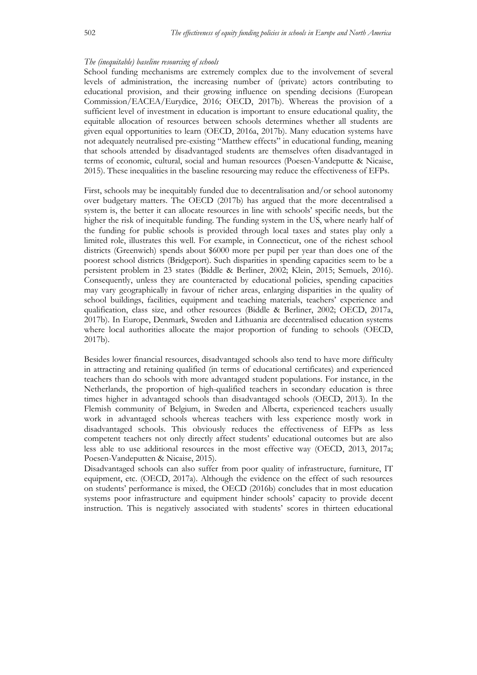#### *The (inequitable) baseline resourcing of schools*

School funding mechanisms are extremely complex due to the involvement of several levels of administration, the increasing number of (private) actors contributing to educational provision, and their growing influence on spending decisions (European Commission/EACEA/Eurydice, 2016; OECD, 2017b). Whereas the provision of a sufficient level of investment in education is important to ensure educational quality, the equitable allocation of resources between schools determines whether all students are given equal opportunities to learn (OECD, 2016a, 2017b). Many education systems have not adequately neutralised pre-existing "Matthew effects" in educational funding, meaning that schools attended by disadvantaged students are themselves often disadvantaged in terms of economic, cultural, social and human resources (Poesen-Vandeputte & Nicaise, 2015). These inequalities in the baseline resourcing may reduce the effectiveness of EFPs.

First, schools may be inequitably funded due to decentralisation and/or school autonomy over budgetary matters. The OECD (2017b) has argued that the more decentralised a system is, the better it can allocate resources in line with schools' specific needs, but the higher the risk of inequitable funding. The funding system in the US, where nearly half of the funding for public schools is provided through local taxes and states play only a limited role, illustrates this well. For example, in Connecticut, one of the richest school districts (Greenwich) spends about \$6000 more per pupil per year than does one of the poorest school districts (Bridgeport). Such disparities in spending capacities seem to be a persistent problem in 23 states (Biddle & Berliner, 2002; Klein, 2015; Semuels, 2016). Consequently, unless they are counteracted by educational policies, spending capacities may vary geographically in favour of richer areas, enlarging disparities in the quality of school buildings, facilities, equipment and teaching materials, teachers' experience and qualification, class size, and other resources (Biddle & Berliner, 2002; OECD, 2017a, 2017b). In Europe, Denmark, Sweden and Lithuania are decentralised education systems where local authorities allocate the major proportion of funding to schools (OECD, 2017b).

Besides lower financial resources, disadvantaged schools also tend to have more difficulty in attracting and retaining qualified (in terms of educational certificates) and experienced teachers than do schools with more advantaged student populations. For instance, in the Netherlands, the proportion of high-qualified teachers in secondary education is three times higher in advantaged schools than disadvantaged schools (OECD, 2013). In the Flemish community of Belgium, in Sweden and Alberta, experienced teachers usually work in advantaged schools whereas teachers with less experience mostly work in disadvantaged schools. This obviously reduces the effectiveness of EFPs as less competent teachers not only directly affect students' educational outcomes but are also less able to use additional resources in the most effective way (OECD, 2013, 2017a; Poesen-Vandeputten & Nicaise, 2015).

Disadvantaged schools can also suffer from poor quality of infrastructure, furniture, IT equipment, etc. (OECD, 2017a). Although the evidence on the effect of such resources on students' performance is mixed, the OECD (2016b) concludes that in most education systems poor infrastructure and equipment hinder schools' capacity to provide decent instruction. This is negatively associated with students' scores in thirteen educational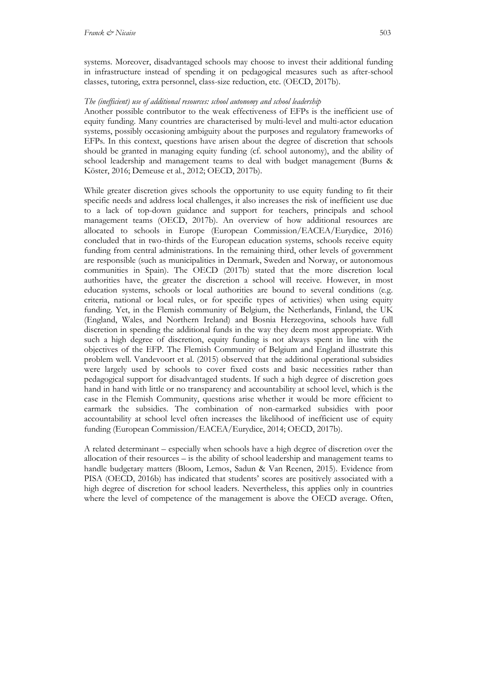systems. Moreover, disadvantaged schools may choose to invest their additional funding in infrastructure instead of spending it on pedagogical measures such as after-school classes, tutoring, extra personnel, class-size reduction, etc. (OECD, 2017b).

### *The (inefficient) use of additional resources: school autonomy and school leadership*

Another possible contributor to the weak effectiveness of EFPs is the inefficient use of equity funding. Many countries are characterised by multi-level and multi-actor education systems, possibly occasioning ambiguity about the purposes and regulatory frameworks of EFPs. In this context, questions have arisen about the degree of discretion that schools should be granted in managing equity funding (cf. school autonomy), and the ability of school leadership and management teams to deal with budget management (Burns & Köster, 2016; Demeuse et al., 2012; OECD, 2017b).

While greater discretion gives schools the opportunity to use equity funding to fit their specific needs and address local challenges, it also increases the risk of inefficient use due to a lack of top-down guidance and support for teachers, principals and school management teams (OECD, 2017b). An overview of how additional resources are allocated to schools in Europe (European Commission/EACEA/Eurydice, 2016) concluded that in two-thirds of the European education systems, schools receive equity funding from central administrations. In the remaining third, other levels of government are responsible (such as municipalities in Denmark, Sweden and Norway, or autonomous communities in Spain). The OECD (2017b) stated that the more discretion local authorities have, the greater the discretion a school will receive. However, in most education systems, schools or local authorities are bound to several conditions (e.g. criteria, national or local rules, or for specific types of activities) when using equity funding. Yet, in the Flemish community of Belgium, the Netherlands, Finland, the UK (England, Wales, and Northern Ireland) and Bosnia Herzegovina, schools have full discretion in spending the additional funds in the way they deem most appropriate. With such a high degree of discretion, equity funding is not always spent in line with the objectives of the EFP. The Flemish Community of Belgium and England illustrate this problem well. Vandevoort et al. (2015) observed that the additional operational subsidies were largely used by schools to cover fixed costs and basic necessities rather than pedagogical support for disadvantaged students. If such a high degree of discretion goes hand in hand with little or no transparency and accountability at school level, which is the case in the Flemish Community, questions arise whether it would be more efficient to earmark the subsidies. The combination of non-earmarked subsidies with poor accountability at school level often increases the likelihood of inefficient use of equity funding (European Commission/EACEA/Eurydice, 2014; OECD, 2017b).

A related determinant – especially when schools have a high degree of discretion over the allocation of their resources – is the ability of school leadership and management teams to handle budgetary matters (Bloom, Lemos, Sadun & Van Reenen, 2015). Evidence from PISA (OECD, 2016b) has indicated that students' scores are positively associated with a high degree of discretion for school leaders. Nevertheless, this applies only in countries where the level of competence of the management is above the OECD average. Often,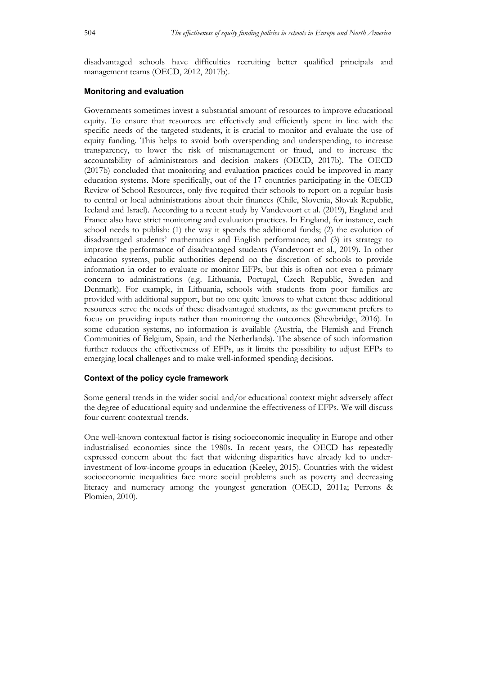disadvantaged schools have difficulties recruiting better qualified principals and management teams (OECD, 2012, 2017b).

#### **Monitoring and evaluation**

Governments sometimes invest a substantial amount of resources to improve educational equity. To ensure that resources are effectively and efficiently spent in line with the specific needs of the targeted students, it is crucial to monitor and evaluate the use of equity funding. This helps to avoid both overspending and underspending, to increase transparency, to lower the risk of mismanagement or fraud, and to increase the accountability of administrators and decision makers (OECD, 2017b). The OECD (2017b) concluded that monitoring and evaluation practices could be improved in many education systems. More specifically, out of the 17 countries participating in the OECD Review of School Resources, only five required their schools to report on a regular basis to central or local administrations about their finances (Chile, Slovenia, Slovak Republic, Iceland and Israel). According to a recent study by Vandevoort et al. (2019), England and France also have strict monitoring and evaluation practices. In England, for instance, each school needs to publish: (1) the way it spends the additional funds; (2) the evolution of disadvantaged students' mathematics and English performance; and (3) its strategy to improve the performance of disadvantaged students (Vandevoort et al., 2019). In other education systems, public authorities depend on the discretion of schools to provide information in order to evaluate or monitor EFPs, but this is often not even a primary concern to administrations (e.g. Lithuania, Portugal, Czech Republic, Sweden and Denmark). For example, in Lithuania, schools with students from poor families are provided with additional support, but no one quite knows to what extent these additional resources serve the needs of these disadvantaged students, as the government prefers to focus on providing inputs rather than monitoring the outcomes (Shewbridge, 2016). In some education systems, no information is available (Austria, the Flemish and French Communities of Belgium, Spain, and the Netherlands). The absence of such information further reduces the effectiveness of EFPs, as it limits the possibility to adjust EFPs to emerging local challenges and to make well-informed spending decisions.

#### **Context of the policy cycle framework**

Some general trends in the wider social and/or educational context might adversely affect the degree of educational equity and undermine the effectiveness of EFPs. We will discuss four current contextual trends.

One well-known contextual factor is rising socioeconomic inequality in Europe and other industrialised economies since the 1980s. In recent years, the OECD has repeatedly expressed concern about the fact that widening disparities have already led to underinvestment of low-income groups in education (Keeley, 2015). Countries with the widest socioeconomic inequalities face more social problems such as poverty and decreasing literacy and numeracy among the youngest generation (OECD, 2011a; Perrons & Plomien, 2010).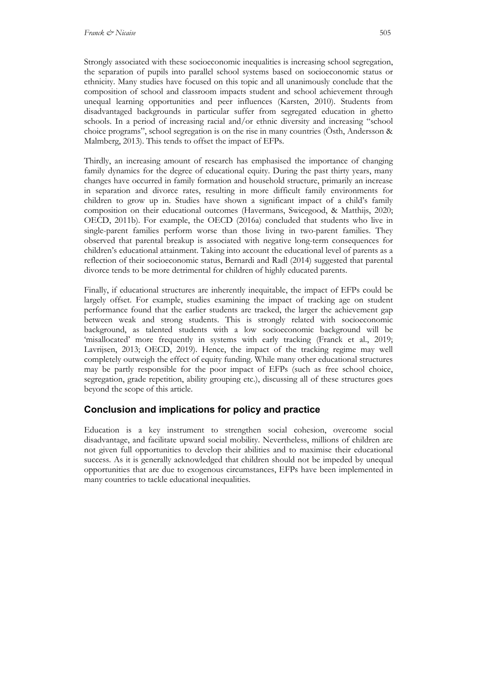Strongly associated with these socioeconomic inequalities is increasing school segregation, the separation of pupils into parallel school systems based on socioeconomic status or ethnicity. Many studies have focused on this topic and all unanimously conclude that the composition of school and classroom impacts student and school achievement through unequal learning opportunities and peer influences (Karsten, 2010). Students from disadvantaged backgrounds in particular suffer from segregated education in ghetto schools. In a period of increasing racial and/or ethnic diversity and increasing "school choice programs", school segregation is on the rise in many countries (Östh, Andersson & Malmberg, 2013). This tends to offset the impact of EFPs.

Thirdly, an increasing amount of research has emphasised the importance of changing family dynamics for the degree of educational equity. During the past thirty years, many changes have occurred in family formation and household structure, primarily an increase in separation and divorce rates, resulting in more difficult family environments for children to grow up in. Studies have shown a significant impact of a child's family composition on their educational outcomes (Havermans, Swicegood, & Matthijs, 2020; OECD, 2011b). For example, the OECD (2016a) concluded that students who live in single-parent families perform worse than those living in two-parent families. They observed that parental breakup is associated with negative long-term consequences for children's educational attainment. Taking into account the educational level of parents as a reflection of their socioeconomic status, Bernardi and Radl (2014) suggested that parental divorce tends to be more detrimental for children of highly educated parents.

Finally, if educational structures are inherently inequitable, the impact of EFPs could be largely offset. For example, studies examining the impact of tracking age on student performance found that the earlier students are tracked, the larger the achievement gap between weak and strong students. This is strongly related with socioeconomic background, as talented students with a low socioeconomic background will be 'misallocated' more frequently in systems with early tracking (Franck et al., 2019; Lavrijsen, 2013; OECD, 2019). Hence, the impact of the tracking regime may well completely outweigh the effect of equity funding. While many other educational structures may be partly responsible for the poor impact of EFPs (such as free school choice, segregation, grade repetition, ability grouping etc.), discussing all of these structures goes beyond the scope of this article.

# **Conclusion and implications for policy and practice**

Education is a key instrument to strengthen social cohesion, overcome social disadvantage, and facilitate upward social mobility. Nevertheless, millions of children are not given full opportunities to develop their abilities and to maximise their educational success. As it is generally acknowledged that children should not be impeded by unequal opportunities that are due to exogenous circumstances, EFPs have been implemented in many countries to tackle educational inequalities.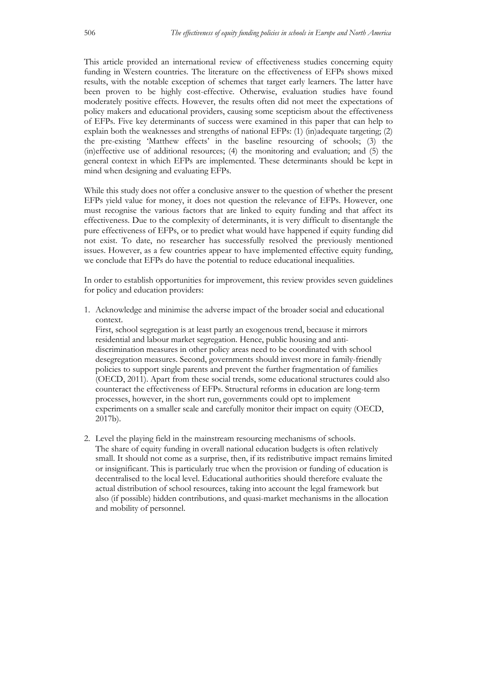This article provided an international review of effectiveness studies concerning equity funding in Western countries. The literature on the effectiveness of EFPs shows mixed results, with the notable exception of schemes that target early learners. The latter have been proven to be highly cost-effective. Otherwise, evaluation studies have found moderately positive effects. However, the results often did not meet the expectations of policy makers and educational providers, causing some scepticism about the effectiveness of EFPs. Five key determinants of success were examined in this paper that can help to explain both the weaknesses and strengths of national EFPs: (1) (in)adequate targeting; (2) the pre-existing 'Matthew effects' in the baseline resourcing of schools; (3) the (in)effective use of additional resources; (4) the monitoring and evaluation; and (5) the general context in which EFPs are implemented. These determinants should be kept in mind when designing and evaluating EFPs.

While this study does not offer a conclusive answer to the question of whether the present EFPs yield value for money, it does not question the relevance of EFPs. However, one must recognise the various factors that are linked to equity funding and that affect its effectiveness. Due to the complexity of determinants, it is very difficult to disentangle the pure effectiveness of EFPs, or to predict what would have happened if equity funding did not exist. To date, no researcher has successfully resolved the previously mentioned issues. However, as a few countries appear to have implemented effective equity funding, we conclude that EFPs do have the potential to reduce educational inequalities.

In order to establish opportunities for improvement, this review provides seven guidelines for policy and education providers:

1. Acknowledge and minimise the adverse impact of the broader social and educational context.

First, school segregation is at least partly an exogenous trend, because it mirrors residential and labour market segregation. Hence, public housing and antidiscrimination measures in other policy areas need to be coordinated with school desegregation measures. Second, governments should invest more in family-friendly policies to support single parents and prevent the further fragmentation of families (OECD, 2011). Apart from these social trends, some educational structures could also counteract the effectiveness of EFPs. Structural reforms in education are long-term processes, however, in the short run, governments could opt to implement experiments on a smaller scale and carefully monitor their impact on equity (OECD, 2017b).

2. Level the playing field in the mainstream resourcing mechanisms of schools. The share of equity funding in overall national education budgets is often relatively small. It should not come as a surprise, then, if its redistributive impact remains limited or insignificant. This is particularly true when the provision or funding of education is decentralised to the local level. Educational authorities should therefore evaluate the actual distribution of school resources, taking into account the legal framework but also (if possible) hidden contributions, and quasi-market mechanisms in the allocation and mobility of personnel.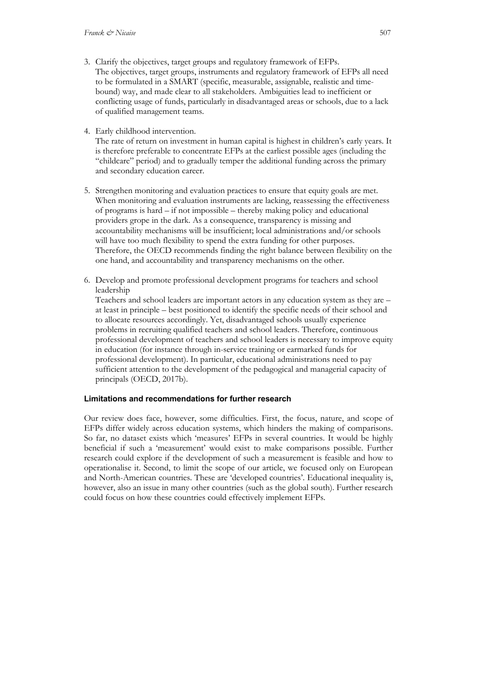- 3. Clarify the objectives, target groups and regulatory framework of EFPs. The objectives, target groups, instruments and regulatory framework of EFPs all need to be formulated in a SMART (specific, measurable, assignable, realistic and timebound) way, and made clear to all stakeholders. Ambiguities lead to inefficient or conflicting usage of funds, particularly in disadvantaged areas or schools, due to a lack of qualified management teams.
- 4. Early childhood intervention.

The rate of return on investment in human capital is highest in children's early years. It is therefore preferable to concentrate EFPs at the earliest possible ages (including the "childcare" period) and to gradually temper the additional funding across the primary and secondary education career.

- 5. Strengthen monitoring and evaluation practices to ensure that equity goals are met. When monitoring and evaluation instruments are lacking, reassessing the effectiveness of programs is hard – if not impossible – thereby making policy and educational providers grope in the dark. As a consequence, transparency is missing and accountability mechanisms will be insufficient; local administrations and/or schools will have too much flexibility to spend the extra funding for other purposes. Therefore, the OECD recommends finding the right balance between flexibility on the one hand, and accountability and transparency mechanisms on the other.
- 6. Develop and promote professional development programs for teachers and school leadership

Teachers and school leaders are important actors in any education system as they are – at least in principle – best positioned to identify the specific needs of their school and to allocate resources accordingly. Yet, disadvantaged schools usually experience problems in recruiting qualified teachers and school leaders. Therefore, continuous professional development of teachers and school leaders is necessary to improve equity in education (for instance through in-service training or earmarked funds for professional development). In particular, educational administrations need to pay sufficient attention to the development of the pedagogical and managerial capacity of principals (OECD, 2017b).

#### **Limitations and recommendations for further research**

Our review does face, however, some difficulties. First, the focus, nature, and scope of EFPs differ widely across education systems, which hinders the making of comparisons. So far, no dataset exists which 'measures' EFPs in several countries. It would be highly beneficial if such a 'measurement' would exist to make comparisons possible. Further research could explore if the development of such a measurement is feasible and how to operationalise it. Second, to limit the scope of our article, we focused only on European and North-American countries. These are 'developed countries'. Educational inequality is, however, also an issue in many other countries (such as the global south). Further research could focus on how these countries could effectively implement EFPs.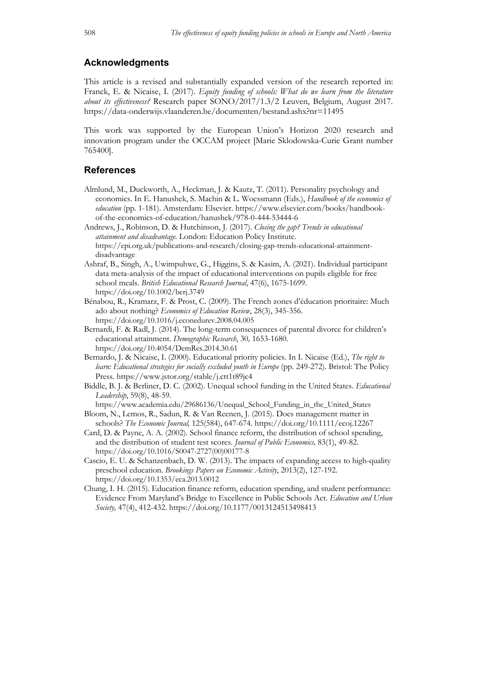# **Acknowledgments**

This article is a revised and substantially expanded version of the research reported in: Franck, E. & Nicaise, I. (2017). *Equity funding of schools: What do we learn from the literature about its effectiveness?* Research paper SONO/2017/1.3/2 Leuven, Belgium, August 2017. https://data-onderwijs.vlaanderen.be/documenten/bestand.ashx?nr=11495

This work was supported by the European Union's Horizon 2020 research and innovation program under the OCCAM project [Marie Sklodowska-Curie Grant number 765400].

### **References**

- Almlund, M., Duckworth, A., Heckman, J. & Kautz, T. (2011). Personality psychology and economics. In E. Hanushek, S. Machin & L. Woessmann (Eds.), *Handbook of the economics of education* (pp. 1-181). Amsterdam: Elsevier. https://www.elsevier.com/books/handbookof-the-economics-of-education/hanushek/978-0-444-53444-6
- Andrews, J., Robinson, D. & Hutchinson, J. (2017). *Closing the gap? Trends in educational attainment and disadvantage.* London: Education Policy Institute. https://epi.org.uk/publications-and-research/closing-gap-trends-educational-attainmentdisadvantage
- Ashraf, B., Singh, A., Uwimpuhwe, G., Higgins, S. & Kasim, A. (2021). Individual participant data meta-analysis of the impact of educational interventions on pupils eligible for free school meals. *British Educational Research Journal*, 47(6), 1675-1699. https://doi.org/10.1002/berj.3749
- Bénabou, R., Kramarz, F. & Prost, C. (2009). The French zones d'éducation prioritaire: Much ado about nothing? *Economics of Education Review*, 28(3), 345-356. https://doi.org/10.1016/j.econedurev.2008.04.005
- Bernardi, F. & Radl, J. (2014). The long-term consequences of parental divorce for children's educational attainment. *Demographic Research*, 30*,* 1653-1680. https://doi.org/10.4054/DemRes.2014.30.61
- Bernardo, J. & Nicaise, I. (2000). Educational priority policies. In I. Nicaise (Ed.), *The right to learn: Educational strategies for socially excluded youth in Europe* (pp. 249-272). Bristol: The Policy Press. https://www.jstor.org/stable/j.ctt1t89jc4
- Biddle, B. J. & Berliner, D. C. (2002). Unequal school funding in the United States. *Educational Leadership*, 59(8), 48-59.

https://www.academia.edu/29686136/Unequal\_School\_Funding\_in\_the\_United\_States

- Bloom, N., Lemos, R., Sadun, R. & Van Reenen, J. (2015). Does management matter in schools? *The Economic Journal,* 125(584), 647-674. https://doi.org/10.1111/ecoj.12267
- Card, D. & Payne, A. A. (2002). School finance reform, the distribution of school spending, and the distribution of student test scores. *Journal of Public Economics,* 83(1), 49-82. https://doi.org/10.1016/S0047-2727(00)00177-8
- Cascio, E. U. & Schanzenbach, D. W. (2013). The impacts of expanding access to high-quality preschool education. *Brookings Papers on Economic Activity*, 2013(2), 127-192. https://doi.org/10.1353/eca.2013.0012
- Chung, I. H. (2015). Education finance reform, education spending, and student performance: Evidence From Maryland's Bridge to Excellence in Public Schools Act. *Education and Urban Society,* 47(4), 412-432. https://doi.org/10.1177/0013124513498413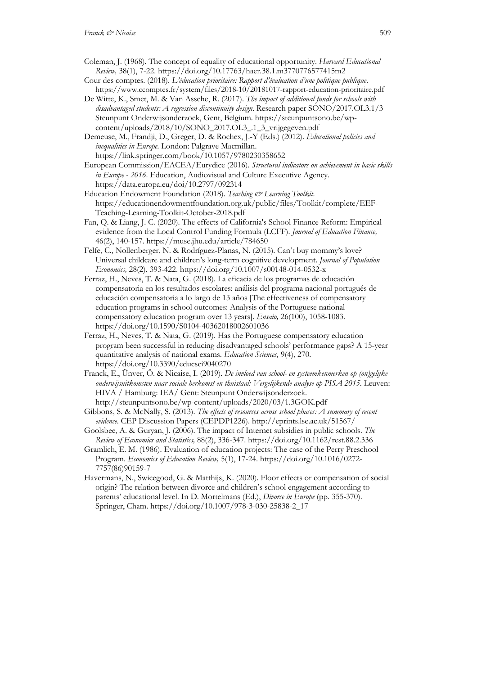- Coleman, J. (1968). The concept of equality of educational opportunity. *Harvard Educational Review,* 38(1), 7-22. https://doi.org/10.17763/haer.38.1.m3770776577415m2
- Cour des comptes. (2018). *L'éducation prioritaire: Rapport d'évaluation d'une politique publique*. https://www.ccomptes.fr/system/files/2018-10/20181017-rapport-education-prioritaire.pdf
- De Witte, K., Smet, M. & Van Assche, R. (2017). *The impact of additional funds for schools with disadvantaged students: A regression discontinuity design*. Research paper SONO/2017.OL3.1/3 Steunpunt Onderwijsonderzoek, Gent, Belgium. https://steunpuntsono.be/wpcontent/uploads/2018/10/SONO\_2017.OL3\_.1\_3\_vrijgegeven.pdf

Demeuse, M., Frandji, D., Greger, D. & Rochex, J.-Y (Eds.) (2012). *Educational policies and inequalities in Europe*. London: Palgrave Macmillan. https://link.springer.com/book/10.1057/9780230358652

- European Commission/EACEA/Eurydice (2016). *Structural indicators on achievement in basic skills in Europe - 2016*. Education, Audiovisual and Culture Executive Agency. https://data.europa.eu/doi/10.2797/092314
- Education Endowment Foundation (2018). *Teaching & Learning Toolkit*. https://educationendowmentfoundation.org.uk/public/files/Toolkit/complete/EEF-Teaching-Learning-Toolkit-October-2018.pdf
- Fan, Q. & Liang, J. C. (2020). The effects of California's School Finance Reform: Empirical evidence from the Local Control Funding Formula (LCFF). *Journal of Education Finance,*  46(2), 140-157. https://muse.jhu.edu/article/784650
- Felfe, C., Nollenberger, N. & Rodríguez-Planas, N. (2015). Can't buy mommy's love? Universal childcare and children's long-term cognitive development. *Journal of Population Economics,* 28(2), 393-422. https://doi.org/10.1007/s00148-014-0532-x
- Ferraz, H., Neves, T. & Nata, G. (2018). La eficacia de los programas de educación compensatoria en los resultados escolares: análisis del programa nacional portugués de educación compensatoria a lo largo de 13 años [The effectiveness of compensatory education programs in school outcomes: Analysis of the Portuguese national compensatory education program over 13 years]. *Ensaio,* 26(100), 1058-1083. https://doi.org/10.1590/S0104-40362018002601036
- Ferraz, H., Neves, T. & Nata, G. (2019). Has the Portuguese compensatory education program been successful in reducing disadvantaged schools' performance gaps? A 15-year quantitative analysis of national exams. *Education Sciences,* 9(4), 270. https://doi.org/10.3390/educsci9040270
- Franck, E., Ünver, Ö. & Nicaise, I. (2019). *De invloed van school- en systeemkenmerken op (on)gelijke onderwijsuitkomsten naar sociale herkomst en thuistaal: Vergelijkende analyse op PISA 2015.* Leuven: HIVA / Hamburg: IEA/ Gent: Steunpunt Onderwijsonderzoek. http://steunpuntsono.be/wp-content/uploads/2020/03/1.3GOK.pdf
- Gibbons, S. & McNally, S. (2013). *The effects of resources across school phases: A summary of recent evidence*. CEP Discussion Papers (CEPDP1226). http://eprints.lse.ac.uk/51567/
- Goolsbee, A. & Guryan, J. (2006). The impact of Internet subsidies in public schools. *The Review of Economics and Statistics,* 88(2), 336-347. https://doi.org/10.1162/rest.88.2.336
- Gramlich, E. M. (1986). Evaluation of education projects: The case of the Perry Preschool Program. *Economics of Education Review,* 5(1), 17-24. https://doi.org/10.1016/0272- 7757(86)90159-7
- Havermans, N., Swicegood, G. & Matthijs, K. (2020). Floor effects or compensation of social origin? The relation between divorce and children's school engagement according to parents' educational level. In D. Mortelmans (Ed.), *Divorce in Europe* (pp. 355-370). Springer, Cham. https://doi.org/10.1007/978-3-030-25838-2\_17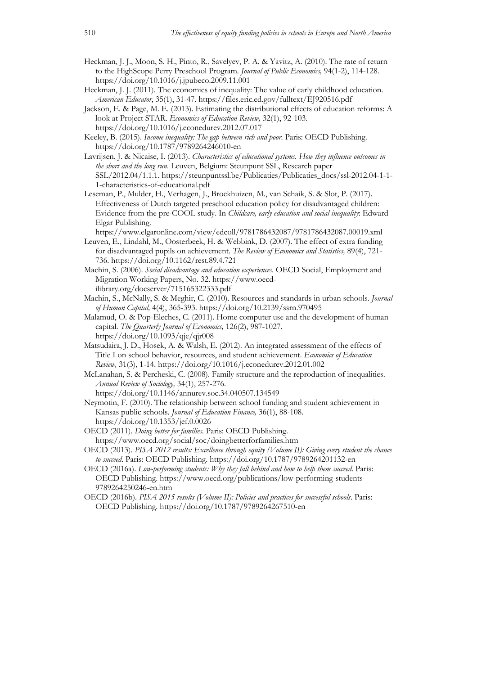- Heckman, J. J., Moon, S. H., Pinto, R., Savelyev, P. A. & Yavitz, A. (2010). The rate of return to the HighScope Perry Preschool Program. *Journal of Public Economics,* 94(1-2), 114-128. https://doi.org/10.1016/j.jpubeco.2009.11.001
- Heckman, J. J. (2011). The economics of inequality: The value of early childhood education. *American Educator*, 35(1), 31-47. https://files.eric.ed.gov/fulltext/EJ920516.pdf
- Jackson, E. & Page, M. E. (2013). Estimating the distributional effects of education reforms: A look at Project STAR. *Economics of Education Review,* 32(1), 92-103. https://doi.org/10.1016/j.econedurev.2012.07.017
- Keeley, B. (2015). *Income inequality: The gap between rich and poor*. Paris: OECD Publishing. https://doi.org/10.1787/9789264246010-en
- Lavrijsen, J. & Nicaise, I. (2013). *Characteristics of educational systems. How they influence outcomes in the short and the long run*. Leuven, Belgium: Steunpunt SSL, Research paper SSL/2012.04/1.1.1. https://steunpuntssl.be/Publicaties/Publicaties\_docs/ssl-2012.04-1-1- 1-characteristics-of-educational.pdf
- Leseman, P., Mulder, H., Verhagen, J., Broekhuizen, M., van Schaik, S. & Slot, P. (2017). Effectiveness of Dutch targeted preschool education policy for disadvantaged children: Evidence from the pre-COOL study. In *Childcare, early education and social inequality*: Edward Elgar Publishing.

https://www.elgaronline.com/view/edcoll/9781786432087/9781786432087.00019.xml

- Leuven, E., Lindahl, M., Oosterbeek, H. & Webbink, D. (2007). The effect of extra funding for disadvantaged pupils on achievement. *The Review of Economics and Statistics,* 89(4), 721- 736. https://doi.org/10.1162/rest.89.4.721
- Machin, S. (2006). *Social disadvantage and education experiences*. OECD Social, Employment and Migration Working Papers, No. 32. https://www.oecdilibrary.org/docserver/715165322333.pdf
- Machin, S., McNally, S. & Meghir, C. (2010). Resources and standards in urban schools. *Journal of Human Capital,* 4(4), 365-393. https://doi.org/10.2139/ssrn.970495
- Malamud, O. & Pop-Eleches, C. (2011). Home computer use and the development of human capital. *The Quarterly Journal of Economics,* 126(2), 987-1027. https://doi.org/10.1093/qje/qjr008
- Matsudaira, J. D., Hosek, A. & Walsh, E. (2012). An integrated assessment of the effects of Title I on school behavior, resources, and student achievement. *Economics of Education Review,* 31(3), 1-14. https://doi.org/10.1016/j.econedurev.2012.01.002
- McLanahan, S. & Percheski, C. (2008). Family structure and the reproduction of inequalities. *Annual Review of Sociology,* 34(1), 257-276.
	- https://doi.org/10.1146/annurev.soc.34.040507.134549
- Neymotin, F. (2010). The relationship between school funding and student achievement in Kansas public schools. *Journal of Education Finance,* 36(1), 88-108. https://doi.org/10.1353/jef.0.0026
- OECD (2011). *Doing better for families*. Paris: OECD Publishing. https://www.oecd.org/social/soc/doingbetterforfamilies.htm
- OECD (2013). *PISA 2012 results: Excellence through equity (Volume II): Giving every student the chance to succeed*. Paris: OECD Publishing. https://doi.org/10.1787/9789264201132-en
- OECD (2016a). *Low-performing students: Why they fall behind and how to help them succeed*. Paris: OECD Publishing. https://www.oecd.org/publications/low-performing-students-9789264250246-en.htm
- OECD (2016b). *PISA 2015 results (Volume II): Policies and practices for successful schools*. Paris: OECD Publishing. https://doi.org/10.1787/9789264267510-en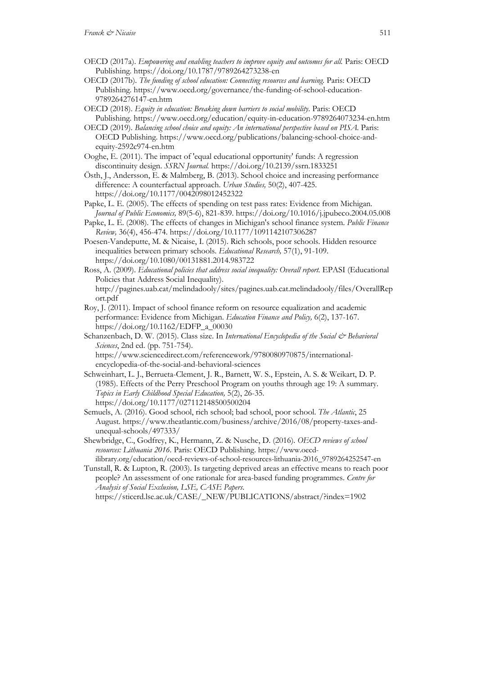- OECD (2017a). *Empowering and enabling teachers to improve equity and outcomes for all.* Paris: OECD Publishing. https://doi.org/10.1787/9789264273238-en
- OECD (2017b). *The funding of school education: Connecting resources and learning.* Paris: OECD Publishing. https://www.oecd.org/governance/the-funding-of-school-education-9789264276147-en.htm
- OECD (2018). *Equity in education: Breaking down barriers to social mobility*. Paris: OECD Publishing. https://www.oecd.org/education/equity-in-education-9789264073234-en.htm
- OECD (2019). *Balancing school choice and equity: An international perspective based on PISA.* Paris: OECD Publishing. https://www.oecd.org/publications/balancing-school-choice-andequity-2592c974-en.htm
- Ooghe, E. (2011). The impact of 'equal educational opportunity' funds: A regression discontinuity design. *SSRN Journal.* https://doi.org/10.2139/ssrn.1833251
- Östh, J., Andersson, E. & Malmberg, B. (2013). School choice and increasing performance difference: A counterfactual approach. *Urban Studies,* 50(2), 407-425. https://doi.org/10.1177/0042098012452322
- Papke, L. E. (2005). The effects of spending on test pass rates: Evidence from Michigan. *Journal of Public Economics,* 89(5-6), 821-839. https://doi.org/10.1016/j.jpubeco.2004.05.008
- Papke, L. E. (2008). The effects of changes in Michigan's school finance system. *Public Finance Review,* 36(4), 456-474. https://doi.org/10.1177/1091142107306287
- Poesen-Vandeputte, M. & Nicaise, I. (2015). Rich schools, poor schools. Hidden resource inequalities between primary schools. *Educational Research,* 57(1), 91-109. https://doi.org/10.1080/00131881.2014.983722
- Ross, A. (2009). *Educational policies that address social inequality: Overall report.* EPASI (Educational Policies that Address Social Inequality). http://pagines.uab.cat/melindadooly/sites/pagines.uab.cat.melindadooly/files/OverallRep
- ort.pdf Roy, J. (2011). Impact of school finance reform on resource equalization and academic performance: Evidence from Michigan. *Education Finance and Policy,* 6(2), 137-167. https://doi.org/10.1162/EDFP\_a\_00030
- Schanzenbach, D. W. (2015). Class size. In *International Encyclopedia of the Social & Behavioral Sciences*, 2nd ed. (pp. 751-754). https://www.sciencedirect.com/referencework/9780080970875/international-

encyclopedia-of-the-social-and-behavioral-sciences

- Schweinhart, L. J., Berrueta-Clement, J. R., Barnett, W. S., Epstein, A. S. & Weikart, D. P. (1985). Effects of the Perry Preschool Program on youths through age 19: A summary. *Topics in Early Childhood Special Education,* 5(2), 26-35. https://doi.org/10.1177/027112148500500204
- Semuels, A. (2016). Good school, rich school; bad school, poor school. *The Atlantic*, 25 August*.* https://www.theatlantic.com/business/archive/2016/08/property-taxes-andunequal-schools/497333/
- Shewbridge, C., Godfrey, K., Hermann, Z. & Nusche, D. (2016). *OECD reviews of school resources: Lithuania 2016.* Paris: OECD Publishing. https://www.oecdilibrary.org/education/oecd-reviews-of-school-resources-lithuania-2016\_9789264252547-en
- Tunstall, R. & Lupton, R. (2003). Is targeting deprived areas an effective means to reach poor people? An assessment of one rationale for area-based funding programmes. *Centre for Analysis of Social Exclusion, LSE, CASE Papers*. https://sticerd.lse.ac.uk/CASE/\_NEW/PUBLICATIONS/abstract/?index=1902